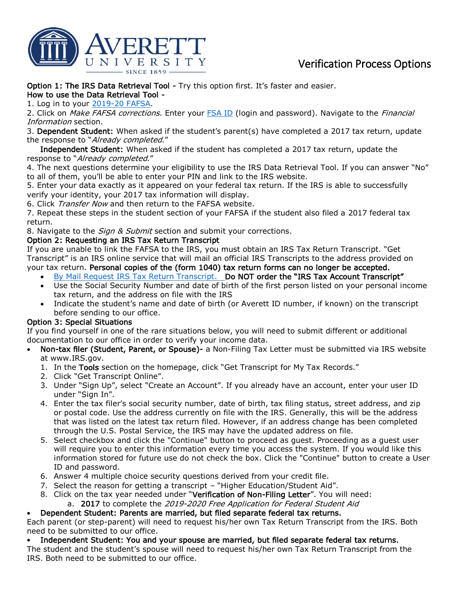

# Verification Process Options

Option 1: The IRS Data Retrieval Tool - Try this option first. It's faster and easier.

How to use the Data Retrieval Tool -

1. Log in to your [2019-20](https://fafsa.ed.gov/) FAFSA.

2. Click on *Make FAFSA corrections*. Enter your [FSA ID](https://fsaid.ed.gov/) (login and password). Navigate to the *Financial* Information section.

3. Dependent Student: When asked if the student's parent(s) have completed a 2017 tax return, update the response to "Already completed."

 Independent Student: When asked if the student has completed a 2017 tax return, update the response to "Already completed."

4. The next questions determine your eligibility to use the IRS Data Retrieval Tool. If you can answer "No" to all of them, you'll be able to enter your PIN and link to the IRS website.

5. Enter your data exactly as it appeared on your federal tax return. If the IRS is able to successfully verify your identity, your 2017 tax information will display.

6. Click Transfer Now and then return to the FAFSA website.

7. Repeat these steps in the student section of your FAFSA if the student also filed a 2017 federal tax return.

8. Navigate to the *Sign & Submit* section and submit your corrections.

## Option 2: Requesting an IRS Tax Return Transcript

If you are unable to link the FAFSA to the IRS, you must obtain an IRS Tax Return Transcript. "Get Transcript" is an IRS online service that will mail an official IRS Transcripts to the address provided on your tax return. Personal copies of the (form 1040) tax return forms can no longer be accepted.

- [By Mail Request IRS Tax Return Transcript.](https://www.irs.gov/Individuals/Get-Transcript) Do NOT order the "IRS Tax Account Transcript"
- Use the Social Security Number and date of birth of the first person listed on your personal income tax return, and the address on file with the IRS
- Indicate the student's name and date of birth (or Averett ID number, if known) on the transcript before sending to our office.

## Option 3: Special Situations

If you find yourself in one of the rare situations below, you will need to submit different or additional documentation to our office in order to verify your income data.

- Non-tax filer (Student, Parent, or Spouse)- a Non-Filing Tax Letter must be submitted via IRS website at www.IRS.gov.
	- 1. In the Tools section on the homepage, click "Get Transcript for My Tax Records."
	- 2. Click "Get Transcript Online".
	- 3. Under "Sign Up", select "Create an Account". If you already have an account, enter your user ID under "Sign In".
	- 4. Enter the tax filer's social security number, date of birth, tax filing status, street address, and zip or postal code. Use the address currently on file with the IRS. Generally, this will be the address that was listed on the latest tax return filed. However, if an address change has been completed through the U.S. Postal Service, the IRS may have the updated address on file.
	- 5. Select checkbox and click the "Continue" button to proceed as guest. Proceeding as a guest user will require you to enter this information every time you access the system. If you would like this information stored for future use do not check the box. Click the "Continue" button to create a User ID and password.
	- 6. Answer 4 multiple choice security questions derived from your credit file.
	- 7. Select the reason for getting a transcript "Higher Education/Student Aid".
	- 8. Click on the tax year needed under "Verification of Non-Filing Letter". You will need: a. 2017 to complete the 2019-2020 Free Application for Federal Student Aid
	- Dependent Student: Parents are married, but filed separate federal tax returns.

Each parent (or step-parent) will need to request his/her own Tax Return Transcript from the IRS. Both need to be submitted to our office.

• Independent Student: You and your spouse are married, but filed separate federal tax returns.

The student and the student's spouse will need to request his/her own Tax Return Transcript from the IRS. Both need to be submitted to our office.